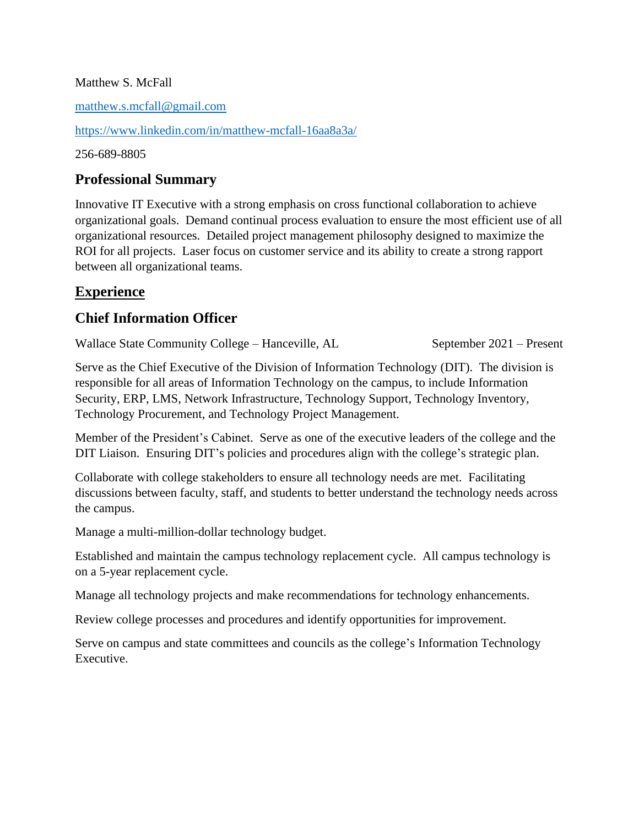#### Matthew S. McFall

[matthew.s.mcfall@gmail.com](mailto:matthew.s.mcfall@gmail.com)

<https://www.linkedin.com/in/matthew-mcfall-16aa8a3a/>

256-689-8805

### **Professional Summary**

Innovative IT Executive with a strong emphasis on cross functional collaboration to achieve organizational goals. Demand continual process evaluation to ensure the most efficient use of all organizational resources. Detailed project management philosophy designed to maximize the ROI for all projects. Laser focus on customer service and its ability to create a strong rapport between all organizational teams.

## **Experience**

## **Chief Information Officer**

Wallace State Community College – Hanceville, AL September 2021 – Present

Serve as the Chief Executive of the Division of Information Technology (DIT). The division is responsible for all areas of Information Technology on the campus, to include Information Security, ERP, LMS, Network Infrastructure, Technology Support, Technology Inventory, Technology Procurement, and Technology Project Management.

Member of the President's Cabinet. Serve as one of the executive leaders of the college and the DIT Liaison. Ensuring DIT's policies and procedures align with the college's strategic plan.

Collaborate with college stakeholders to ensure all technology needs are met. Facilitating discussions between faculty, staff, and students to better understand the technology needs across the campus.

Manage a multi-million-dollar technology budget.

Established and maintain the campus technology replacement cycle. All campus technology is on a 5-year replacement cycle.

Manage all technology projects and make recommendations for technology enhancements.

Review college processes and procedures and identify opportunities for improvement.

Serve on campus and state committees and councils as the college's Information Technology Executive.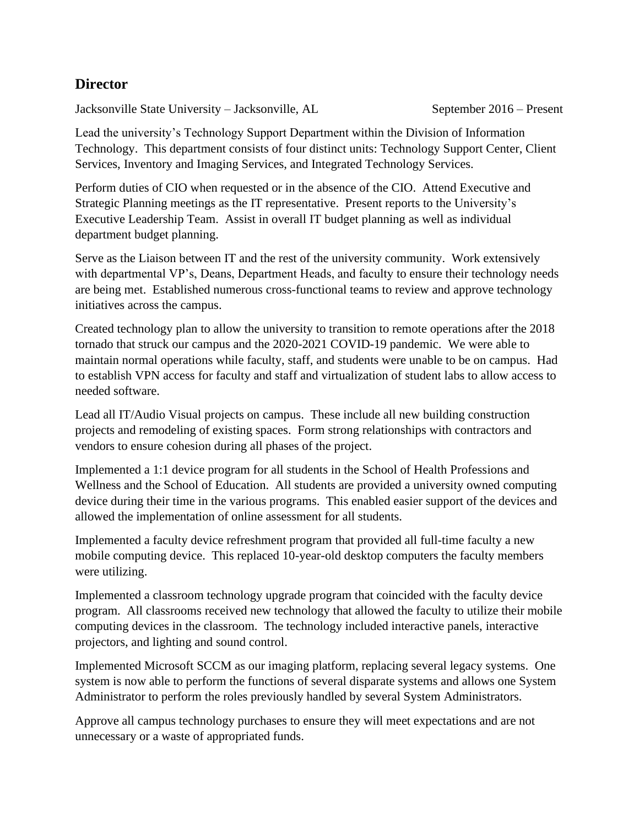#### **Director**

Jacksonville State University – Jacksonville, AL September 2016 – Present

Lead the university's Technology Support Department within the Division of Information Technology. This department consists of four distinct units: Technology Support Center, Client Services, Inventory and Imaging Services, and Integrated Technology Services.

Perform duties of CIO when requested or in the absence of the CIO. Attend Executive and Strategic Planning meetings as the IT representative. Present reports to the University's Executive Leadership Team. Assist in overall IT budget planning as well as individual department budget planning.

Serve as the Liaison between IT and the rest of the university community. Work extensively with departmental VP's, Deans, Department Heads, and faculty to ensure their technology needs are being met. Established numerous cross-functional teams to review and approve technology initiatives across the campus.

Created technology plan to allow the university to transition to remote operations after the 2018 tornado that struck our campus and the 2020-2021 COVID-19 pandemic. We were able to maintain normal operations while faculty, staff, and students were unable to be on campus. Had to establish VPN access for faculty and staff and virtualization of student labs to allow access to needed software.

Lead all IT/Audio Visual projects on campus. These include all new building construction projects and remodeling of existing spaces. Form strong relationships with contractors and vendors to ensure cohesion during all phases of the project.

Implemented a 1:1 device program for all students in the School of Health Professions and Wellness and the School of Education. All students are provided a university owned computing device during their time in the various programs. This enabled easier support of the devices and allowed the implementation of online assessment for all students.

Implemented a faculty device refreshment program that provided all full-time faculty a new mobile computing device. This replaced 10-year-old desktop computers the faculty members were utilizing.

Implemented a classroom technology upgrade program that coincided with the faculty device program. All classrooms received new technology that allowed the faculty to utilize their mobile computing devices in the classroom. The technology included interactive panels, interactive projectors, and lighting and sound control.

Implemented Microsoft SCCM as our imaging platform, replacing several legacy systems. One system is now able to perform the functions of several disparate systems and allows one System Administrator to perform the roles previously handled by several System Administrators.

Approve all campus technology purchases to ensure they will meet expectations and are not unnecessary or a waste of appropriated funds.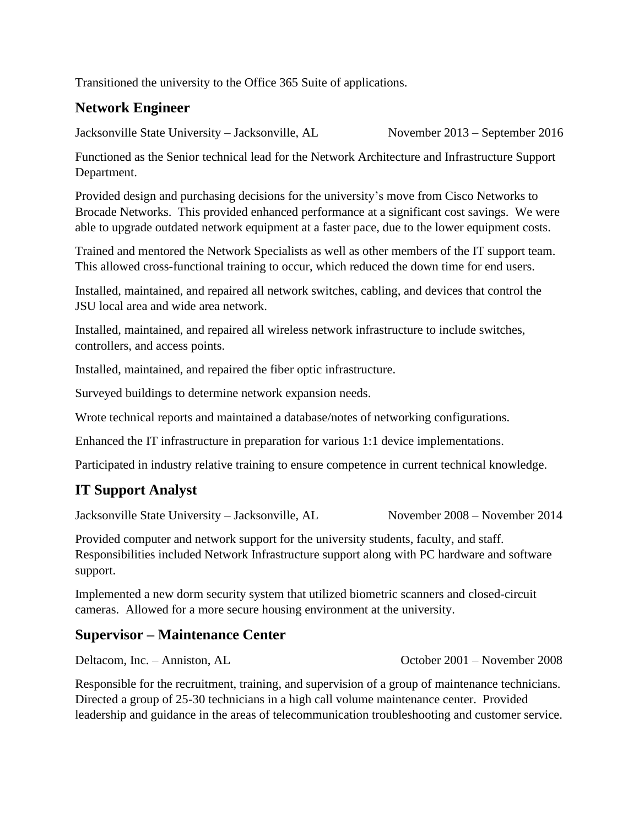Transitioned the university to the Office 365 Suite of applications.

# **Network Engineer**

Jacksonville State University – Jacksonville, AL November 2013 – September 2016

Functioned as the Senior technical lead for the Network Architecture and Infrastructure Support Department.

Provided design and purchasing decisions for the university's move from Cisco Networks to Brocade Networks. This provided enhanced performance at a significant cost savings. We were able to upgrade outdated network equipment at a faster pace, due to the lower equipment costs.

Trained and mentored the Network Specialists as well as other members of the IT support team. This allowed cross-functional training to occur, which reduced the down time for end users.

Installed, maintained, and repaired all network switches, cabling, and devices that control the JSU local area and wide area network.

Installed, maintained, and repaired all wireless network infrastructure to include switches, controllers, and access points.

Installed, maintained, and repaired the fiber optic infrastructure.

Surveyed buildings to determine network expansion needs.

Wrote technical reports and maintained a database/notes of networking configurations.

Enhanced the IT infrastructure in preparation for various 1:1 device implementations.

Participated in industry relative training to ensure competence in current technical knowledge.

# **IT Support Analyst**

Jacksonville State University – Jacksonville, AL November 2008 – November 2014

Provided computer and network support for the university students, faculty, and staff. Responsibilities included Network Infrastructure support along with PC hardware and software support.

Implemented a new dorm security system that utilized biometric scanners and closed-circuit cameras. Allowed for a more secure housing environment at the university.

#### **Supervisor – Maintenance Center**

Deltacom, Inc. – Anniston, AL October 2001 – November 2008

Responsible for the recruitment, training, and supervision of a group of maintenance technicians. Directed a group of 25-30 technicians in a high call volume maintenance center. Provided leadership and guidance in the areas of telecommunication troubleshooting and customer service.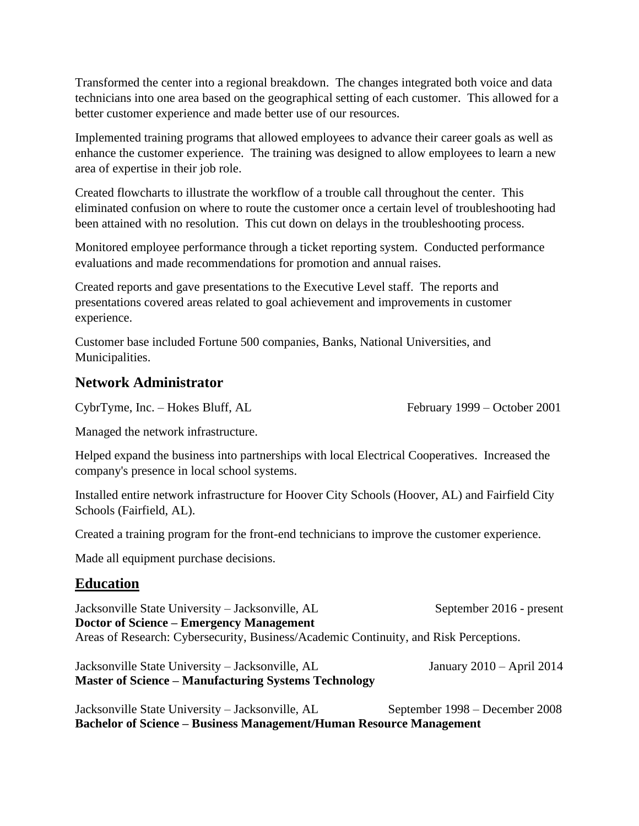Transformed the center into a regional breakdown. The changes integrated both voice and data technicians into one area based on the geographical setting of each customer. This allowed for a better customer experience and made better use of our resources.

Implemented training programs that allowed employees to advance their career goals as well as enhance the customer experience. The training was designed to allow employees to learn a new area of expertise in their job role.

Created flowcharts to illustrate the workflow of a trouble call throughout the center. This eliminated confusion on where to route the customer once a certain level of troubleshooting had been attained with no resolution. This cut down on delays in the troubleshooting process.

Monitored employee performance through a ticket reporting system. Conducted performance evaluations and made recommendations for promotion and annual raises.

Created reports and gave presentations to the Executive Level staff. The reports and presentations covered areas related to goal achievement and improvements in customer experience.

Customer base included Fortune 500 companies, Banks, National Universities, and Municipalities.

#### **Network Administrator**

CybrTyme, Inc. – Hokes Bluff, AL February 1999 – October 2001

Managed the network infrastructure.

Helped expand the business into partnerships with local Electrical Cooperatives. Increased the company's presence in local school systems.

Installed entire network infrastructure for Hoover City Schools (Hoover, AL) and Fairfield City Schools (Fairfield, AL).

Created a training program for the front-end technicians to improve the customer experience.

Made all equipment purchase decisions.

#### **Education**

Jacksonville State University – Jacksonville, AL September 2016 - present **Doctor of Science – Emergency Management** Areas of Research: Cybersecurity, Business/Academic Continuity, and Risk Perceptions.

Jacksonville State University – Jacksonville, AL January 2010 – April 2014 **Master of Science – Manufacturing Systems Technology**

Jacksonville State University – Jacksonville, AL September 1998 – December 2008 **Bachelor of Science – Business Management/Human Resource Management**